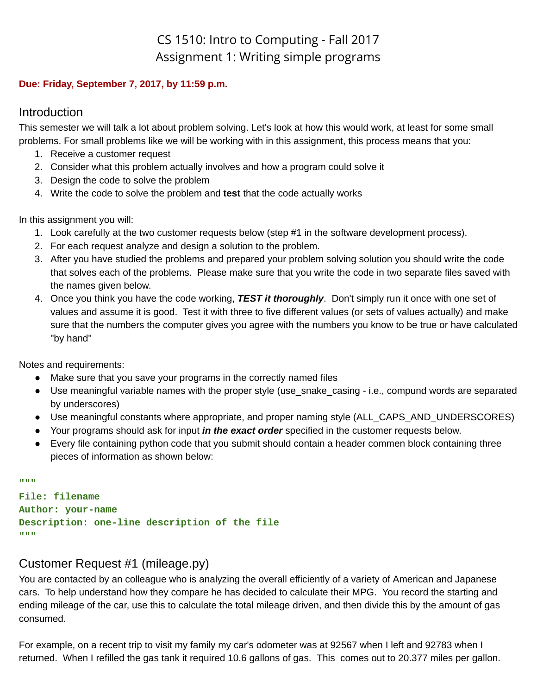# CS 1510: Intro to Computing - Fall 2017 Assignment 1: Writing simple programs

#### **Due: Friday, September 7, 2017, by 11:59 p.m.**

### **Introduction**

This semester we will talk a lot about problem solving. Let's look at how this would work, at least for some small problems. For small problems like we will be working with in this assignment, this process means that you:

- 1. Receive a customer request
- 2. Consider what this problem actually involves and how a program could solve it
- 3. Design the code to solve the problem
- 4. Write the code to solve the problem and **test** that the code actually works

In this assignment you will:

- 1. Look carefully at the two customer requests below (step #1 in the software development process).
- 2. For each request analyze and design a solution to the problem.
- 3. After you have studied the problems and prepared your problem solving solution you should write the code that solves each of the problems. Please make sure that you write the code in two separate files saved with the names given below.
- 4. Once you think you have the code working, *TEST it thoroughly*. Don't simply run it once with one set of values and assume it is good. Test it with three to five different values (or sets of values actually) and make sure that the numbers the computer gives you agree with the numbers you know to be true or have calculated "by hand"

Notes and requirements:

- Make sure that you save your programs in the correctly named files
- Use meaningful variable names with the proper style (use snake casing i.e., compund words are separated by underscores)
- Use meaningful constants where appropriate, and proper naming style (ALL\_CAPS\_AND\_UNDERSCORES)
- Your programs should ask for input *in the exact order* specified in the customer requests below.
- Every file containing python code that you submit should contain a header commen block containing three pieces of information as shown below:

```
"""
```

```
File: filename
Author: your-name
Description: one-line description of the file
"""
```
## Customer Request #1 (mileage.py)

You are contacted by an colleague who is analyzing the overall efficiently of a variety of American and Japanese cars. To help understand how they compare he has decided to calculate their MPG. You record the starting and ending mileage of the car, use this to calculate the total mileage driven, and then divide this by the amount of gas consumed.

For example, on a recent trip to visit my family my car's odometer was at 92567 when I left and 92783 when I returned. When I refilled the gas tank it required 10.6 gallons of gas. This comes out to 20.377 miles per gallon.